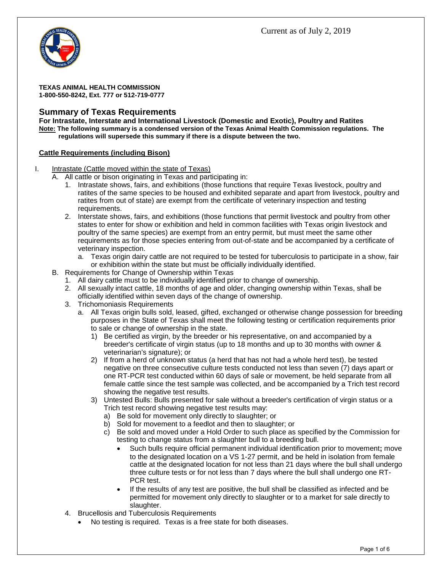

**TEXAS ANIMAL HEALTH COMMISSION 1-800-550-8242, Ext. 777 or 512-719-0777**

# **Summary of Texas Requirements**

**For Intrastate, Interstate and International Livestock (Domestic and Exotic), Poultry and Ratites Note: The following summary is a condensed version of the Texas Animal Health Commission regulations. The regulations will supersede this summary if there is a dispute between the two.**

#### **Cattle Requirements (including Bison)**

- I. Intrastate (Cattle moved within the state of Texas)
	- A. All cattle or bison originating in Texas and participating in:
		- 1. Intrastate shows, fairs, and exhibitions (those functions that require Texas livestock, poultry and ratites of the same species to be housed and exhibited separate and apart from livestock, poultry and ratites from out of state) are exempt from the certificate of veterinary inspection and testing requirements.
		- 2. Interstate shows, fairs, and exhibitions (those functions that permit livestock and poultry from other states to enter for show or exhibition and held in common facilities with Texas origin livestock and poultry of the same species) are exempt from an entry permit, but must meet the same other requirements as for those species entering from out-of-state and be accompanied by a certificate of veterinary inspection.
			- a. Texas origin dairy cattle are not required to be tested for tuberculosis to participate in a show, fair or exhibition within the state but must be officially individually identified.
	- B. Requirements for Change of Ownership within Texas
		- 1. All dairy cattle must to be individually identified prior to change of ownership.
			- 2. All sexually intact cattle, 18 months of age and older, changing ownership within Texas, shall be officially identified within seven days of the change of ownership.
			- 3. Trichomoniasis Requirements
				- a. All Texas origin bulls sold, leased, gifted, exchanged or otherwise change possession for breeding purposes in the State of Texas shall meet the following testing or certification requirements prior to sale or change of ownership in the state.
					- 1) Be certified as virgin, by the breeder or his representative, on and accompanied by a breeder's certificate of virgin status (up to 18 months and up to 30 months with owner & veterinarian's signature); or
					- 2) If from a herd of unknown status (a herd that has not had a whole herd test), be tested negative on three consecutive culture tests conducted not less than seven (7) days apart or one RT-PCR test conducted within 60 days of sale or movement, be held separate from all female cattle since the test sample was collected, and be accompanied by a Trich test record showing the negative test results.
					- 3) Untested Bulls: Bulls presented for sale without a breeder's certification of virgin status or a Trich test record showing negative test results may:
						- a) Be sold for movement only directly to slaughter; or
						- b) Sold for movement to a feedlot and then to slaughter; or
						- c) Be sold and moved under a Hold Order to such place as specified by the Commission for testing to change status from a slaughter bull to a breeding bull.
							- Such bulls require official permanent individual identification prior to movement**;** move to the designated location on a VS 1-27 permit, and be held in isolation from female cattle at the designated location for not less than 21 days where the bull shall undergo three culture tests or for not less than 7 days where the bull shall undergo one RT-PCR test.
							- If the results of any test are positive, the bull shall be classified as infected and be permitted for movement only directly to slaughter or to a market for sale directly to slaughter.
			- 4. Brucellosis and Tuberculosis Requirements
				- No testing is required. Texas is a free state for both diseases.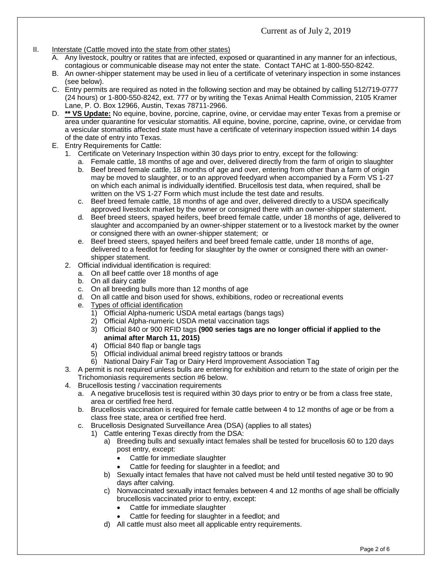#### II. Interstate (Cattle moved into the state from other states)

- A. Any livestock, poultry or ratites that are infected, exposed or quarantined in any manner for an infectious, contagious or communicable disease may not enter the state. Contact TAHC at 1-800-550-8242.
- B. An owner-shipper statement may be used in lieu of a certificate of veterinary inspection in some instances (see below).
- C. Entry permits are required as noted in the following section and may be obtained by calling 512/719-0777 (24 hours) or 1-800-550-8242, ext. 777 or by writing the Texas Animal Health Commission, 2105 Kramer Lane, P. O. Box 12966, Austin, Texas 78711-2966.
- D. **\*\* VS Update:** No equine, bovine, porcine, caprine, ovine, or cervidae may enter Texas from a premise or area under quarantine for vesicular stomatitis. All equine, bovine, porcine, caprine, ovine, or cervidae from a vesicular stomatitis affected state must have a certificate of veterinary inspection issued within 14 days of the date of entry into Texas.
- E. Entry Requirements for Cattle:
	- 1. Certificate on Veterinary Inspection within 30 days prior to entry, except for the following:
		- a. Female cattle, 18 months of age and over, delivered directly from the farm of origin to slaughter b. Beef breed female cattle, 18 months of age and over, entering from other than a farm of origin may be moved to slaughter, or to an approved feedyard when accompanied by a Form VS 1-27 on which each animal is individually identified. Brucellosis test data, when required, shall be written on the VS 1-27 Form which must include the test date and results.
		- c. Beef breed female cattle, 18 months of age and over, delivered directly to a USDA specifically approved livestock market by the owner or consigned there with an owner-shipper statement.
		- d. Beef breed steers, spayed heifers, beef breed female cattle, under 18 months of age, delivered to slaughter and accompanied by an owner-shipper statement or to a livestock market by the owner or consigned there with an owner-shipper statement;or
		- e. Beef breed steers, spayed heifers and beef breed female cattle, under 18 months of age, delivered to a feedlot for feeding for slaughter by the owner or consigned there with an ownershipper statement.
	- 2. Official individual identification is required:
		- a. On all beef cattle over 18 months of age
		- b. On all dairy cattle
		- c. On all breeding bulls more than 12 months of age
		- d. On all cattle and bison used for shows, exhibitions, rodeo or recreational events
		- e. Types of official identification
			- 1) Official Alpha-numeric USDA metal eartags (bangs tags)
			- 2) Official Alpha-numeric USDA metal vaccination tags
			- 3) Official 840 or 900 RFID tags **(900 series tags are no longer official if applied to the animal after March 11, 2015)**
			- 4) Official 840 flap or bangle tags<br>5) Official individual animal breed
			- 5) Official individual animal breed registry tattoos or brands
			- 6) National Dairy Fair Tag or Dairy Herd Improvement Association Tag
	- 3. A permit is not required unless bulls are entering for exhibition and return to the state of origin per the Trichomoniasis requirements section #6 below.
	- 4. Brucellosis testing / vaccination requirements
		- a. A negative brucellosis test is required within 30 days prior to entry or be from a class free state, area or certified free herd.
		- b. Brucellosis vaccination is required for female cattle between 4 to 12 months of age or be from a class free state, area or certified free herd.
		- c. Brucellosis Designated Surveillance Area (DSA) (applies to all states)
			- 1) Cattle entering Texas directly from the DSA:
				- a) Breeding bulls and sexually intact females shall be tested for brucellosis 60 to 120 days post entry, except:
					- Cattle for immediate slaughter
					- Cattle for feeding for slaughter in a feedlot; and
				- b) Sexually intact females that have not calved must be held until tested negative 30 to 90 days after calving.
				- c) Nonvaccinated sexually intact females between 4 and 12 months of age shall be officially brucellosis vaccinated prior to entry, except:
					- Cattle for immediate slaughter
					- Cattle for feeding for slaughter in a feedlot; and
				- d) All cattle must also meet all applicable entry requirements.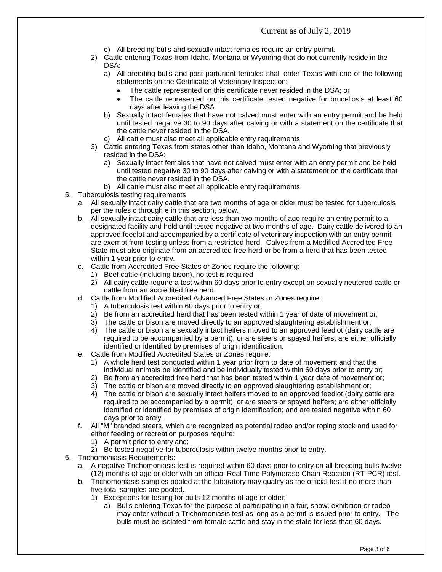- e) All breeding bulls and sexually intact females require an entry permit.
- 2) Cattle entering Texas from Idaho, Montana or Wyoming that do not currently reside in the DSA:
	- a) All breeding bulls and post parturient females shall enter Texas with one of the following statements on the Certificate of Veterinary Inspection:
		- The cattle represented on this certificate never resided in the DSA; or
		- The cattle represented on this certificate tested negative for brucellosis at least 60 days after leaving the DSA.
	- b) Sexually intact females that have not calved must enter with an entry permit and be held until tested negative 30 to 90 days after calving or with a statement on the certificate that the cattle never resided in the DSA.
	- c) All cattle must also meet all applicable entry requirements.
- 3) Cattle entering Texas from states other than Idaho, Montana and Wyoming that previously resided in the DSA:
	- a) Sexually intact females that have not calved must enter with an entry permit and be held until tested negative 30 to 90 days after calving or with a statement on the certificate that the cattle never resided in the DSA.
	- b) All cattle must also meet all applicable entry requirements.
- 5. Tuberculosis testing requirements
	- a. All sexually intact dairy cattle that are two months of age or older must be tested for tuberculosis per the rules c through e in this section, below.
	- b. All sexually intact dairy cattle that are less than two months of age require an entry permit to a designated facility and held until tested negative at two months of age. Dairy cattle delivered to an approved feedlot and accompanied by a certificate of veterinary inspection with an entry permit are exempt from testing unless from a restricted herd. Calves from a Modified Accredited Free State must also originate from an accredited free herd or be from a herd that has been tested within 1 year prior to entry.
	- c. Cattle from Accredited Free States or Zones require the following:
		- 1) Beef cattle (including bison), no test is required
		- 2) All dairy cattle require a test within 60 days prior to entry except on sexually neutered cattle or cattle from an accredited free herd.
	- d. Cattle from Modified Accredited Advanced Free States or Zones require:
		- 1) A tuberculosis test within 60 days prior to entry or;
		- 2) Be from an accredited herd that has been tested within 1 year of date of movement or;
		- 3) The cattle or bison are moved directly to an approved slaughtering establishment or;
		- 4) The cattle or bison are sexually intact heifers moved to an approved feedlot (dairy cattle are required to be accompanied by a permit), or are steers or spayed heifers; are either officially identified or identified by premises of origin identification.
	- e. Cattle from Modified Accredited States or Zones require:
		- 1) A whole herd test conducted within 1 year prior from to date of movement and that the individual animals be identified and be individually tested within 60 days prior to entry or;
		- 2) Be from an accredited free herd that has been tested within 1 year date of movement or;
		- 3) The cattle or bison are moved directly to an approved slaughtering establishment or;
		- 4) The cattle or bison are sexually intact heifers moved to an approved feedlot (dairy cattle are required to be accompanied by a permit), or are steers or spayed heifers; are either officially identified or identified by premises of origin identification; and are tested negative within 60 days prior to entry.
	- f. All "M" branded steers, which are recognized as potential rodeo and/or roping stock and used for either feeding or recreation purposes require:
		- 1) A permit prior to entry and;
		- 2) Be tested negative for tuberculosis within twelve months prior to entry.
- 6. Trichomoniasis Requirements:
	- a. A negative Trichomoniasis test is required within 60 days prior to entry on all breeding bulls twelve (12) months of age or older with an official Real Time Polymerase Chain Reaction (RT-PCR) test.
	- b. Trichomoniasis samples pooled at the laboratory may qualify as the official test if no more than five total samples are pooled.
		- 1) Exceptions for testing for bulls 12 months of age or older:
			- a) Bulls entering Texas for the purpose of participating in a fair, show, exhibition or rodeo may enter without a Trichomoniasis test as long as a permit is issued prior to entry. The bulls must be isolated from female cattle and stay in the state for less than 60 days.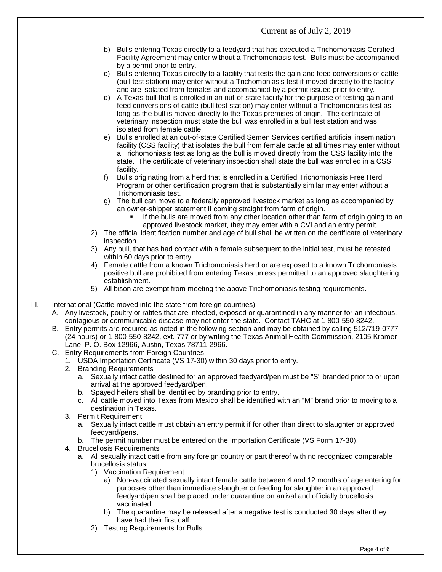- b) Bulls entering Texas directly to a feedyard that has executed a Trichomoniasis Certified Facility Agreement may enter without a Trichomoniasis test. Bulls must be accompanied by a permit prior to entry.
- c) Bulls entering Texas directly to a facility that tests the gain and feed conversions of cattle (bull test station) may enter without a Trichomoniasis test if moved directly to the facility and are isolated from females and accompanied by a permit issued prior to entry.
- d) A Texas bull that is enrolled in an out-of-state facility for the purpose of testing gain and feed conversions of cattle (bull test station) may enter without a Trichomoniasis test as long as the bull is moved directly to the Texas premises of origin. The certificate of veterinary inspection must state the bull was enrolled in a bull test station and was isolated from female cattle.
- e) Bulls enrolled at an out-of-state Certified Semen Services certified artificial insemination facility (CSS facility) that isolates the bull from female cattle at all times may enter without a Trichomoniasis test as long as the bull is moved directly from the CSS facility into the state. The certificate of veterinary inspection shall state the bull was enrolled in a CSS facility.
- f) Bulls originating from a herd that is enrolled in a Certified Trichomoniasis Free Herd Program or other certification program that is substantially similar may enter without a Trichomoniasis test.
- g) The bull can move to a federally approved livestock market as long as accompanied by an owner-shipper statement if coming straight from farm of origin.
	- If the bulls are moved from any other location other than farm of origin going to an approved livestock market, they may enter with a CVI and an entry permit.
- 2) The official identification number and age of bull shall be written on the certificate of veterinary inspection.
- 3) Any bull, that has had contact with a female subsequent to the initial test, must be retested within 60 days prior to entry.
- 4) Female cattle from a known Trichomoniasis herd or are exposed to a known Trichomoniasis positive bull are prohibited from entering Texas unless permitted to an approved slaughtering establishment.
- 5) All bison are exempt from meeting the above Trichomoniasis testing requirements.
- III. International (Cattle moved into the state from foreign countries)
	- A. Any livestock, poultry or ratites that are infected, exposed or quarantined in any manner for an infectious, contagious or communicable disease may not enter the state. Contact TAHC at 1-800-550-8242.
	- B. Entry permits are required as noted in the following section and may be obtained by calling 512/719-0777 (24 hours) or 1-800-550-8242, ext. 777 or by writing the Texas Animal Health Commission, 2105 Kramer Lane, P. O. Box 12966, Austin, Texas 78711-2966.
	- C. Entry Requirements from Foreign Countries
		- 1. USDA Importation Certificate (VS 17-30) within 30 days prior to entry.
		- 2. Branding Requirements
			- a. Sexually intact cattle destined for an approved feedyard/pen must be "S" branded prior to or upon arrival at the approved feedyard/pen.
			- b. Spayed heifers shall be identified by branding prior to entry.
			- c. All cattle moved into Texas from Mexico shall be identified with an "M" brand prior to moving to a destination in Texas.
		- 3. Permit Requirement
			- a. Sexually intact cattle must obtain an entry permit if for other than direct to slaughter or approved feedyard/pens.
			- b. The permit number must be entered on the Importation Certificate (VS Form 17-30).
		- 4. Brucellosis Requirements
			- a. All sexually intact cattle from any foreign country or part thereof with no recognized comparable brucellosis status:
				- 1) Vaccination Requirement
					- a) Non-vaccinated sexually intact female cattle between 4 and 12 months of age entering for purposes other than immediate slaughter or feeding for slaughter in an approved feedyard/pen shall be placed under quarantine on arrival and officially brucellosis vaccinated.
					- b) The quarantine may be released after a negative test is conducted 30 days after they have had their first calf.
				- 2) Testing Requirements for Bulls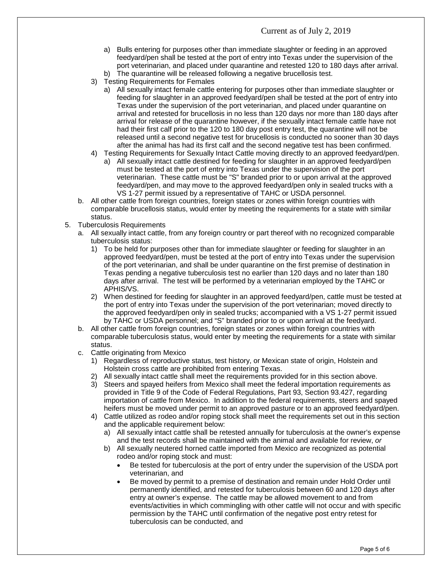- a) Bulls entering for purposes other than immediate slaughter or feeding in an approved feedyard/pen shall be tested at the port of entry into Texas under the supervision of the port veterinarian, and placed under quarantine and retested 120 to 180 days after arrival.
- b) The quarantine will be released following a negative brucellosis test.
- 3) Testing Requirements for Females
	- a) All sexually intact female cattle entering for purposes other than immediate slaughter or feeding for slaughter in an approved feedyard/pen shall be tested at the port of entry into Texas under the supervision of the port veterinarian, and placed under quarantine on arrival and retested for brucellosis in no less than 120 days nor more than 180 days after arrival for release of the quarantine however, if the sexually intact female cattle have not had their first calf prior to the 120 to 180 day post entry test, the quarantine will not be released until a second negative test for brucellosis is conducted no sooner than 30 days after the animal has had its first calf and the second negative test has been confirmed.
- 4) Testing Requirements for Sexually Intact Cattle moving directly to an approved feedyard/pen.
	- a) All sexually intact cattle destined for feeding for slaughter in an approved feedyard/pen must be tested at the port of entry into Texas under the supervision of the port veterinarian. These cattle must be "S" branded prior to or upon arrival at the approved feedyard/pen, and may move to the approved feedyard/pen only in sealed trucks with a VS 1-27 permit issued by a representative of TAHC or USDA personnel.
- b. All other cattle from foreign countries, foreign states or zones within foreign countries with comparable brucellosis status, would enter by meeting the requirements for a state with similar status.
- 5. Tuberculosis Requirements
	- a. All sexually intact cattle, from any foreign country or part thereof with no recognized comparable tuberculosis status:
		- 1) To be held for purposes other than for immediate slaughter or feeding for slaughter in an approved feedyard/pen, must be tested at the port of entry into Texas under the supervision of the port veterinarian, and shall be under quarantine on the first premise of destination in Texas pending a negative tuberculosis test no earlier than 120 days and no later than 180 days after arrival. The test will be performed by a veterinarian employed by the TAHC or APHIS/VS.
		- 2) When destined for feeding for slaughter in an approved feedyard/pen, cattle must be tested at the port of entry into Texas under the supervision of the port veterinarian; moved directly to the approved feedyard/pen only in sealed trucks; accompanied with a VS 1-27 permit issued by TAHC or USDA personnel; and "S" branded prior to or upon arrival at the feedyard.
	- b. All other cattle from foreign countries, foreign states or zones within foreign countries with comparable tuberculosis status, would enter by meeting the requirements for a state with similar status.
	- c. Cattle originating from Mexico
		- 1) Regardless of reproductive status, test history, or Mexican state of origin, Holstein and Holstein cross cattle are prohibited from entering Texas.
		- 2) All sexually intact cattle shall meet the requirements provided for in this section above.
		- 3) Steers and spayed heifers from Mexico shall meet the federal importation requirements as provided in Title 9 of the Code of Federal Regulations, Part 93, Section 93.427, regarding importation of cattle from Mexico. In addition to the federal requirements, steers and spayed heifers must be moved under permit to an approved pasture or to an approved feedyard/pen.
		- 4) Cattle utilized as rodeo and/or roping stock shall meet the requirements set out in this section and the applicable requirement below:
			- a) All sexually intact cattle shall be retested annually for tuberculosis at the owner's expense and the test records shall be maintained with the animal and available for review, *or*
			- b) All sexually neutered horned cattle imported from Mexico are recognized as potential rodeo and/or roping stock and must:
				- Be tested for tuberculosis at the port of entry under the supervision of the USDA port veterinarian, and
				- Be moved by permit to a premise of destination and remain under Hold Order until permanently identified, and retested for tuberculosis between 60 and 120 days after entry at owner's expense. The cattle may be allowed movement to and from events/activities in which commingling with other cattle will not occur and with specific permission by the TAHC until confirmation of the negative post entry retest for tuberculosis can be conducted, and